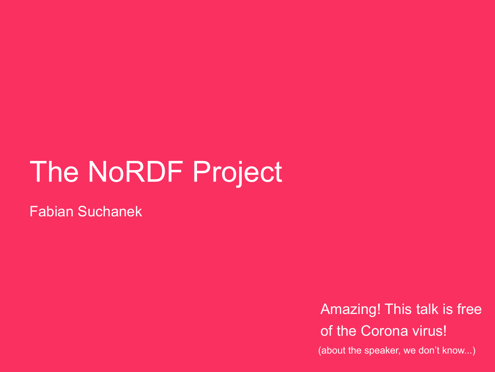#### The [NoRDF](#page-1-0) Project

Fabian Suchanek

Amazing! This talk is free of the Corona virus!

(about the speaker, we don't know...)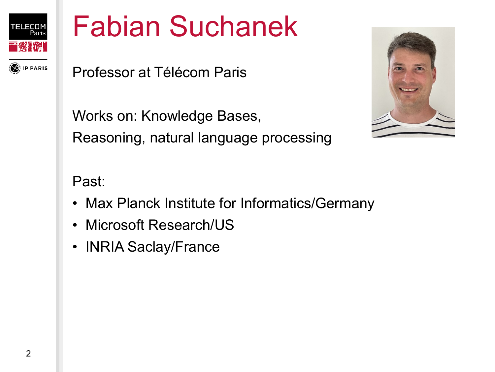<span id="page-1-0"></span>

#### Fabian [Suchanek](#page-2-0)

**P PARIS** 

Professor at Télécom Paris

Works on: Knowledge Bases, Reasoning, natural language processing



Past:

- Max Planck Institute for Informatics/Germany
- Microsoft Research/US
- INRIA Saclay/France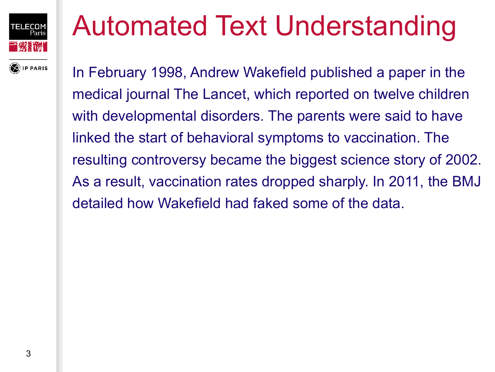<span id="page-2-0"></span>

# Automated Text [Understanding](#page-3-0)

In February 1998, Andrew Wakefield published a paper in the medical journal The Lancet, which reported on twelve children with developmental disorders. The parents were said to have linked the start of behavioral symptoms to vaccination. The resulting controversy became the biggest science story of 2002. As a result, vaccination rates dropped sharply. In 2011, the BMJ detailed how Wakefield had faked some of the data.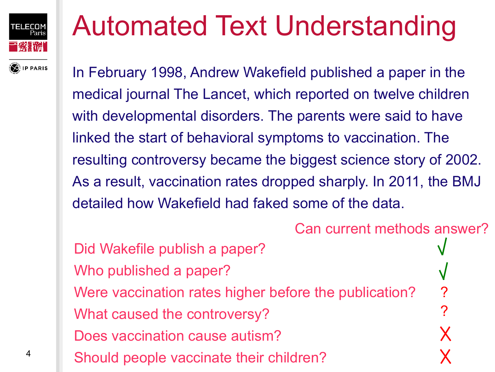<span id="page-3-0"></span>

# Automated Text [Understanding](#page-4-0)

In February 1998, Andrew Wakefield published a paper in the medical journal The Lancet, which reported on twelve children with developmental disorders. The parents were said to have linked the start of behavioral symptoms to vaccination. The resulting controversy became the biggest science story of 2002. As a result, vaccination rates dropped sharply. In 2011, the BMJ detailed how Wakefield had faked some of the data.

Can current methods answer? Did Wakefile publish a paper? Who published a paper? Were vaccination rates higher before the publication? ? ? What caused the controversy? х Does vaccination cause autism? Should people vaccinate their children?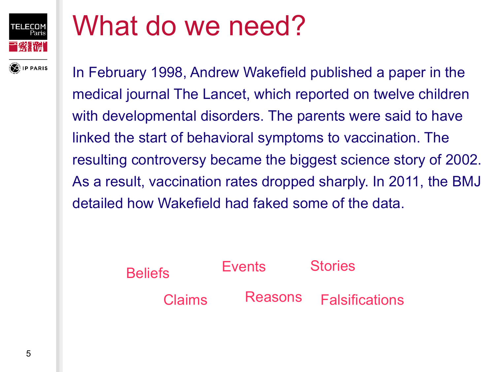<span id="page-4-0"></span>

**P PARIS** 

#### What do we [need?](#page-5-0)

In February 1998, Andrew Wakefield published a paper in the medical journal The Lancet, which reported on twelve children with developmental disorders. The parents were said to have linked the start of behavioral symptoms to vaccination. The resulting controversy became the biggest science story of 2002. As a result, vaccination rates dropped sharply. In 2011, the BMJ detailed how Wakefield had faked some of the data.

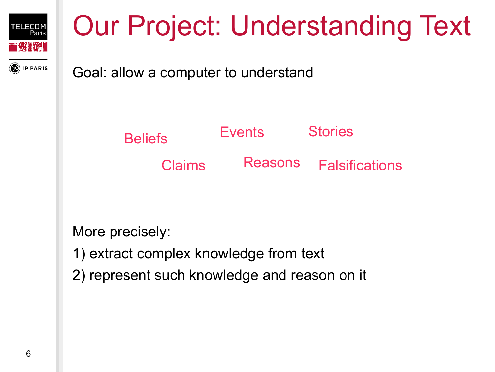<span id="page-5-0"></span>

**IP PARIS** 

# Our Project: [Understanding](#page-6-0) Text

Goal: allow a computer to understand



More precisely:

- 1) extract complex knowledge from text
- 2) represent such knowledge and reason on it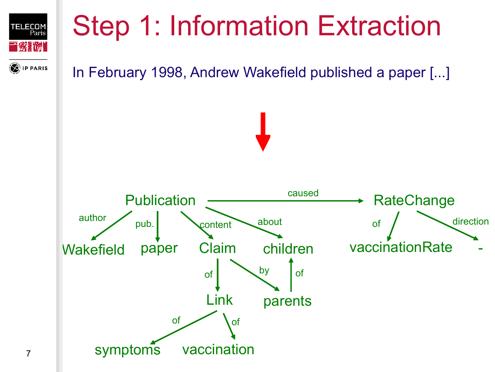<span id="page-6-0"></span>

# Step 1: [Information](#page-7-0) Extraction

#### **PPARIS**



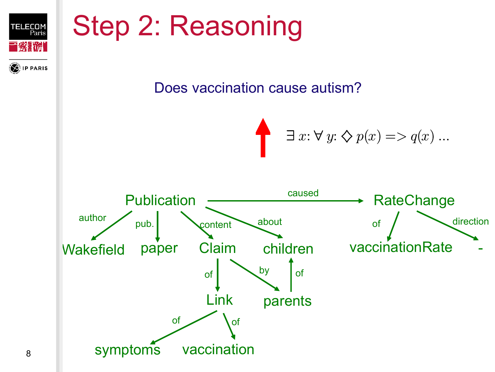<span id="page-7-0"></span>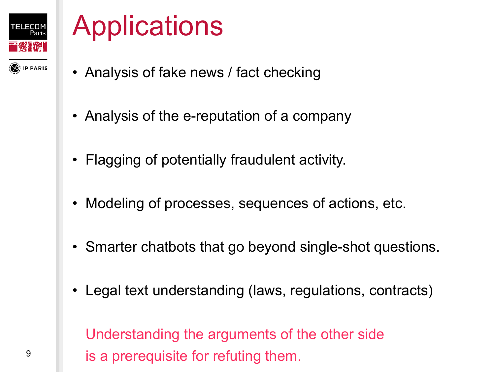<span id="page-8-0"></span>

**IP PARIS** 

# **[Applications](#page-9-0)**

- Analysis of fake news / fact checking
- Analysis of the e-reputation of a company
- Flagging of potentially fraudulent activity.
- Modeling of processes, sequences of actions, etc.
- Smarter chatbots that go beyond single-shot questions.
- Legal text understanding (laws, regulations, contracts)

Understanding the arguments of the other side is a prerequisite for refuting them.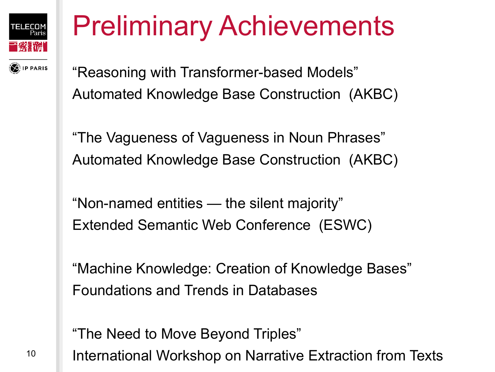<span id="page-9-0"></span>

**IP PARIS** 

# Preliminary [Achievements](#page-10-0)

"Reasoning with Transformer-based Models" Automated Knowledge Base Construction (AKBC)

"The Vagueness of Vagueness in Noun Phrases" Automated Knowledge Base Construction (AKBC)

"Non-named entities — the silent majority" Extended Semantic Web Conference (ESWC)

"Machine Knowledge: Creation of Knowledge Bases" Foundations and Trends in Databases

"The Need to Move Beyond Triples"

International Workshop on Narrative Extraction from Texts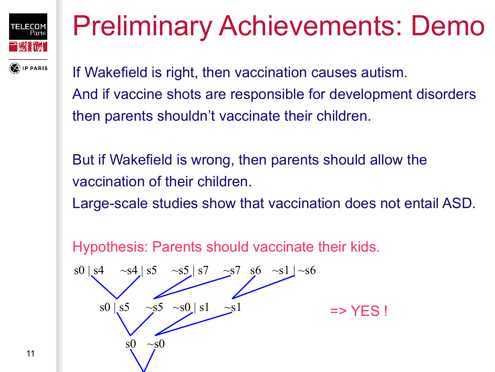<span id="page-10-0"></span>

# Preliminary [Achievements:](#page-11-0) Demo

If Wakefield is right, then vaccination causes autism. And if vaccine shots are responsible for development disorders then parents shouldn't vaccinate their children.

But if Wakefield is wrong, then parents should allow the vaccination of their children.

Large-scale studies show that vaccination does not entail ASD.

Hypothesis: Parents should vaccinate their kids.